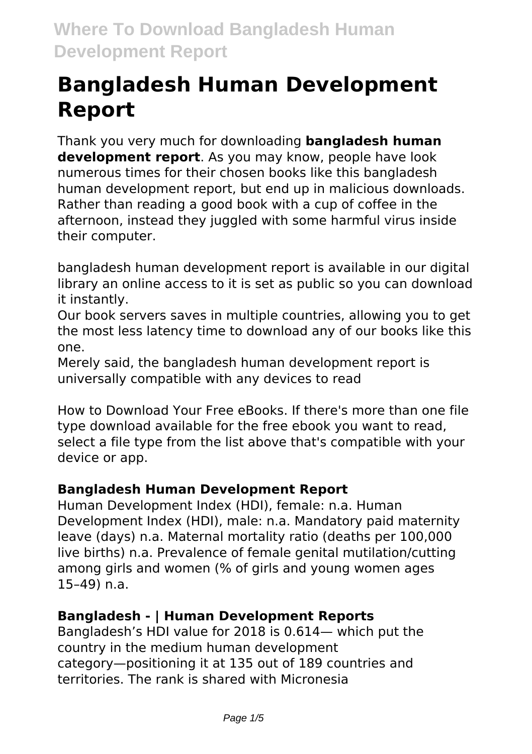# **Bangladesh Human Development Report**

Thank you very much for downloading **bangladesh human development report**. As you may know, people have look numerous times for their chosen books like this bangladesh human development report, but end up in malicious downloads. Rather than reading a good book with a cup of coffee in the afternoon, instead they juggled with some harmful virus inside their computer.

bangladesh human development report is available in our digital library an online access to it is set as public so you can download it instantly.

Our book servers saves in multiple countries, allowing you to get the most less latency time to download any of our books like this one.

Merely said, the bangladesh human development report is universally compatible with any devices to read

How to Download Your Free eBooks. If there's more than one file type download available for the free ebook you want to read, select a file type from the list above that's compatible with your device or app.

## **Bangladesh Human Development Report**

Human Development Index (HDI), female: n.a. Human Development Index (HDI), male: n.a. Mandatory paid maternity leave (days) n.a. Maternal mortality ratio (deaths per 100,000 live births) n.a. Prevalence of female genital mutilation/cutting among girls and women (% of girls and young women ages 15–49) n.a.

#### **Bangladesh - | Human Development Reports**

Bangladesh's HDI value for 2018 is 0.614— which put the country in the medium human development category—positioning it at 135 out of 189 countries and territories. The rank is shared with Micronesia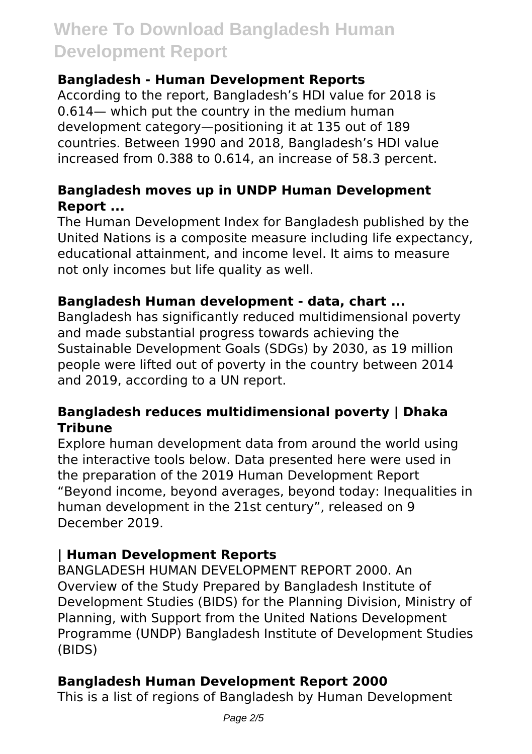#### **Bangladesh - Human Development Reports**

According to the report, Bangladesh's HDI value for 2018 is 0.614— which put the country in the medium human development category—positioning it at 135 out of 189 countries. Between 1990 and 2018, Bangladesh's HDI value increased from 0.388 to 0.614, an increase of 58.3 percent.

#### **Bangladesh moves up in UNDP Human Development Report ...**

The Human Development Index for Bangladesh published by the United Nations is a composite measure including life expectancy, educational attainment, and income level. It aims to measure not only incomes but life quality as well.

#### **Bangladesh Human development - data, chart ...**

Bangladesh has significantly reduced multidimensional poverty and made substantial progress towards achieving the Sustainable Development Goals (SDGs) by 2030, as 19 million people were lifted out of poverty in the country between 2014 and 2019, according to a UN report.

#### **Bangladesh reduces multidimensional poverty | Dhaka Tribune**

Explore human development data from around the world using the interactive tools below. Data presented here were used in the preparation of the 2019 Human Development Report "Beyond income, beyond averages, beyond today: Inequalities in human development in the 21st century", released on 9 December 2019.

#### **| Human Development Reports**

BANGLADESH HUMAN DEVELOPMENT REPORT 2000. An Overview of the Study Prepared by Bangladesh Institute of Development Studies (BIDS) for the Planning Division, Ministry of Planning, with Support from the United Nations Development Programme (UNDP) Bangladesh Institute of Development Studies (BIDS)

#### **Bangladesh Human Development Report 2000**

This is a list of regions of Bangladesh by Human Development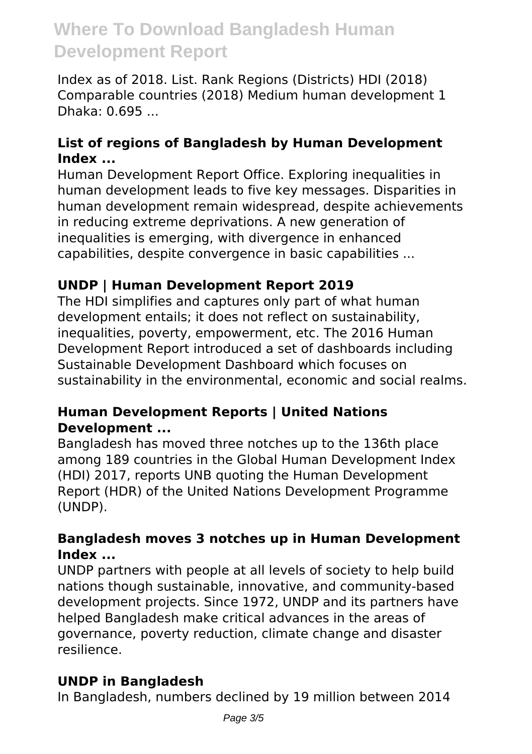Index as of 2018. List. Rank Regions (Districts) HDI (2018) Comparable countries (2018) Medium human development 1 Dhaka: 0.695 ...

#### **List of regions of Bangladesh by Human Development Index ...**

Human Development Report Office. Exploring inequalities in human development leads to five key messages. Disparities in human development remain widespread, despite achievements in reducing extreme deprivations. A new generation of inequalities is emerging, with divergence in enhanced capabilities, despite convergence in basic capabilities ...

## **UNDP | Human Development Report 2019**

The HDI simplifies and captures only part of what human development entails; it does not reflect on sustainability, inequalities, poverty, empowerment, etc. The 2016 Human Development Report introduced a set of dashboards including Sustainable Development Dashboard which focuses on sustainability in the environmental, economic and social realms.

#### **Human Development Reports | United Nations Development ...**

Bangladesh has moved three notches up to the 136th place among 189 countries in the Global Human Development Index (HDI) 2017, reports UNB quoting the Human Development Report (HDR) of the United Nations Development Programme (UNDP).

#### **Bangladesh moves 3 notches up in Human Development Index ...**

UNDP partners with people at all levels of society to help build nations though sustainable, innovative, and community-based development projects. Since 1972, UNDP and its partners have helped Bangladesh make critical advances in the areas of governance, poverty reduction, climate change and disaster resilience.

## **UNDP in Bangladesh**

In Bangladesh, numbers declined by 19 million between 2014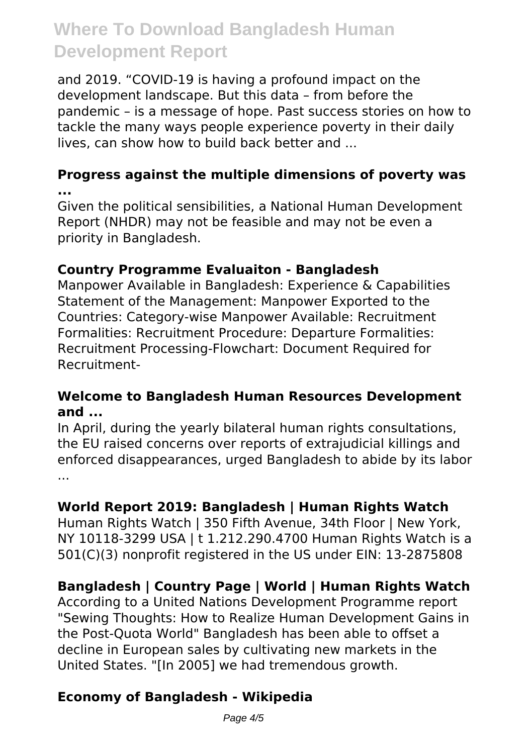and 2019. "COVID-19 is having a profound impact on the development landscape. But this data – from before the pandemic – is a message of hope. Past success stories on how to tackle the many ways people experience poverty in their daily lives, can show how to build back better and ...

#### **Progress against the multiple dimensions of poverty was ...**

Given the political sensibilities, a National Human Development Report (NHDR) may not be feasible and may not be even a priority in Bangladesh.

#### **Country Programme Evaluaiton - Bangladesh**

Manpower Available in Bangladesh: Experience & Capabilities Statement of the Management: Manpower Exported to the Countries: Category-wise Manpower Available: Recruitment Formalities: Recruitment Procedure: Departure Formalities: Recruitment Processing-Flowchart: Document Required for Recruitment-

#### **Welcome to Bangladesh Human Resources Development and ...**

In April, during the yearly bilateral human rights consultations, the EU raised concerns over reports of extrajudicial killings and enforced disappearances, urged Bangladesh to abide by its labor ...

## **World Report 2019: Bangladesh | Human Rights Watch**

Human Rights Watch | 350 Fifth Avenue, 34th Floor | New York, NY 10118-3299 USA | t 1.212.290.4700 Human Rights Watch is a 501(C)(3) nonprofit registered in the US under EIN: 13-2875808

# **Bangladesh | Country Page | World | Human Rights Watch**

According to a United Nations Development Programme report "Sewing Thoughts: How to Realize Human Development Gains in the Post-Quota World" Bangladesh has been able to offset a decline in European sales by cultivating new markets in the United States. "[In 2005] we had tremendous growth.

## **Economy of Bangladesh - Wikipedia**